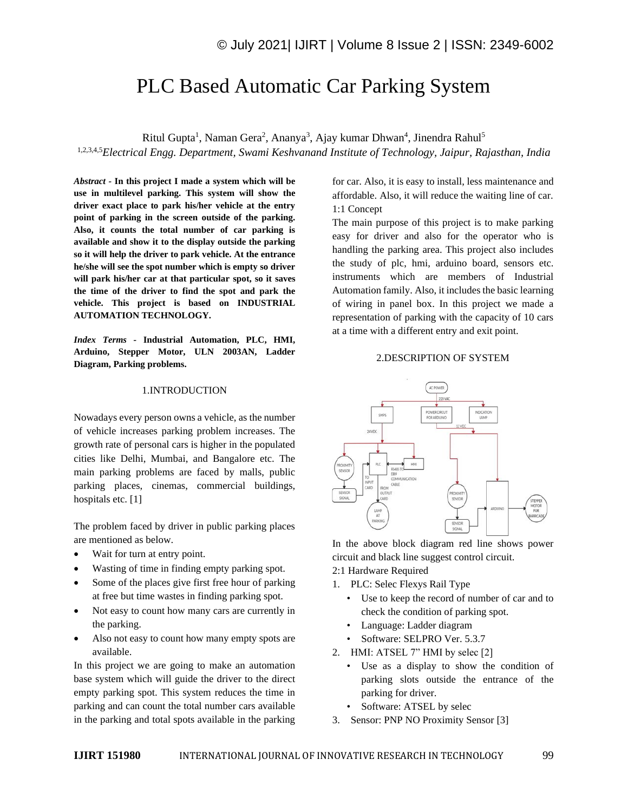# PLC Based Automatic Car Parking System

Ritul Gupta<sup>1</sup>, Naman Gera<sup>2</sup>, Ananya<sup>3</sup>, Ajay kumar Dhwan<sup>4</sup>, Jinendra Rahul<sup>5</sup> 1,2,3,4,5*Electrical Engg. Department, Swami Keshvanand Institute of Technology, Jaipur, Rajasthan, India*

*Abstract -* **In this project I made a system which will be use in multilevel parking. This system will show the driver exact place to park his/her vehicle at the entry point of parking in the screen outside of the parking. Also, it counts the total number of car parking is available and show it to the display outside the parking so it will help the driver to park vehicle. At the entrance he/she will see the spot number which is empty so driver will park his/her car at that particular spot, so it saves the time of the driver to find the spot and park the vehicle. This project is based on INDUSTRIAL AUTOMATION TECHNOLOGY.**

*Index Terms -* **Industrial Automation, PLC, HMI, Arduino, Stepper Motor, ULN 2003AN, Ladder Diagram, Parking problems.**

#### 1.INTRODUCTION

Nowadays every person owns a vehicle, as the number of vehicle increases parking problem increases. The growth rate of personal cars is higher in the populated cities like Delhi, Mumbai, and Bangalore etc. The main parking problems are faced by malls, public parking places, cinemas, commercial buildings, hospitals etc. [1]

The problem faced by driver in public parking places are mentioned as below.

- Wait for turn at entry point.
- Wasting of time in finding empty parking spot.
- Some of the places give first free hour of parking at free but time wastes in finding parking spot.
- Not easy to count how many cars are currently in the parking.
- Also not easy to count how many empty spots are available.

In this project we are going to make an automation base system which will guide the driver to the direct empty parking spot. This system reduces the time in parking and can count the total number cars available in the parking and total spots available in the parking for car. Also, it is easy to install, less maintenance and affordable. Also, it will reduce the waiting line of car. 1:1 Concept

The main purpose of this project is to make parking easy for driver and also for the operator who is handling the parking area. This project also includes the study of plc, hmi, arduino board, sensors etc. instruments which are members of Industrial Automation family. Also, it includes the basic learning of wiring in panel box. In this project we made a representation of parking with the capacity of 10 cars at a time with a different entry and exit point.

## 2.DESCRIPTION OF SYSTEM



In the above block diagram red line shows power circuit and black line suggest control circuit.

- 2:1 Hardware Required
- 1. PLC: Selec Flexys Rail Type
	- Use to keep the record of number of car and to check the condition of parking spot.
	- Language: Ladder diagram
	- Software: SELPRO Ver. 5.3.7
- 2. HMI: ATSEL 7" HMI by selec [2]
	- Use as a display to show the condition of parking slots outside the entrance of the parking for driver.
	- Software: ATSEL by selec
- 3. Sensor: PNP NO Proximity Sensor [3]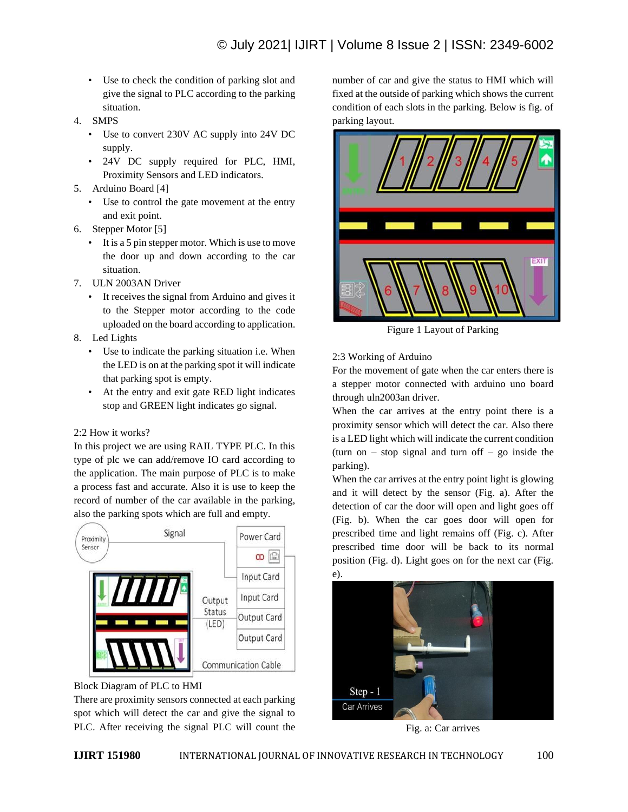- Use to check the condition of parking slot and give the signal to PLC according to the parking situation.
- 4. SMPS
	- Use to convert 230V AC supply into 24V DC supply.
	- 24V DC supply required for PLC, HMI, Proximity Sensors and LED indicators.
- 5. Arduino Board [4]
	- Use to control the gate movement at the entry and exit point.
- 6. Stepper Motor [5]
	- It is a 5 pin stepper motor. Which is use to move the door up and down according to the car situation.
- 7. ULN 2003AN Driver
	- It receives the signal from Arduino and gives it to the Stepper motor according to the code uploaded on the board according to application.
- 8. Led Lights
	- Use to indicate the parking situation i.e. When the LED is on at the parking spot it will indicate that parking spot is empty.
	- At the entry and exit gate RED light indicates stop and GREEN light indicates go signal.

## 2:2 How it works?

In this project we are using RAIL TYPE PLC. In this type of plc we can add/remove IO card according to the application. The main purpose of PLC is to make a process fast and accurate. Also it is use to keep the record of number of the car available in the parking, also the parking spots which are full and empty.





There are proximity sensors connected at each parking spot which will detect the car and give the signal to PLC. After receiving the signal PLC will count the number of car and give the status to HMI which will fixed at the outside of parking which shows the current condition of each slots in the parking. Below is fig. of parking layout.



Figure 1 Layout of Parking

2:3 Working of Arduino

For the movement of gate when the car enters there is a stepper motor connected with arduino uno board through uln2003an driver.

When the car arrives at the entry point there is a proximity sensor which will detect the car. Also there is a LED light which will indicate the current condition (turn on  $-$  stop signal and turn of  $-$  go inside the parking).

When the car arrives at the entry point light is glowing and it will detect by the sensor (Fig. a). After the detection of car the door will open and light goes off (Fig. b). When the car goes door will open for prescribed time and light remains off (Fig. c). After prescribed time door will be back to its normal position (Fig. d). Light goes on for the next car (Fig.



Fig. a: Car arrives